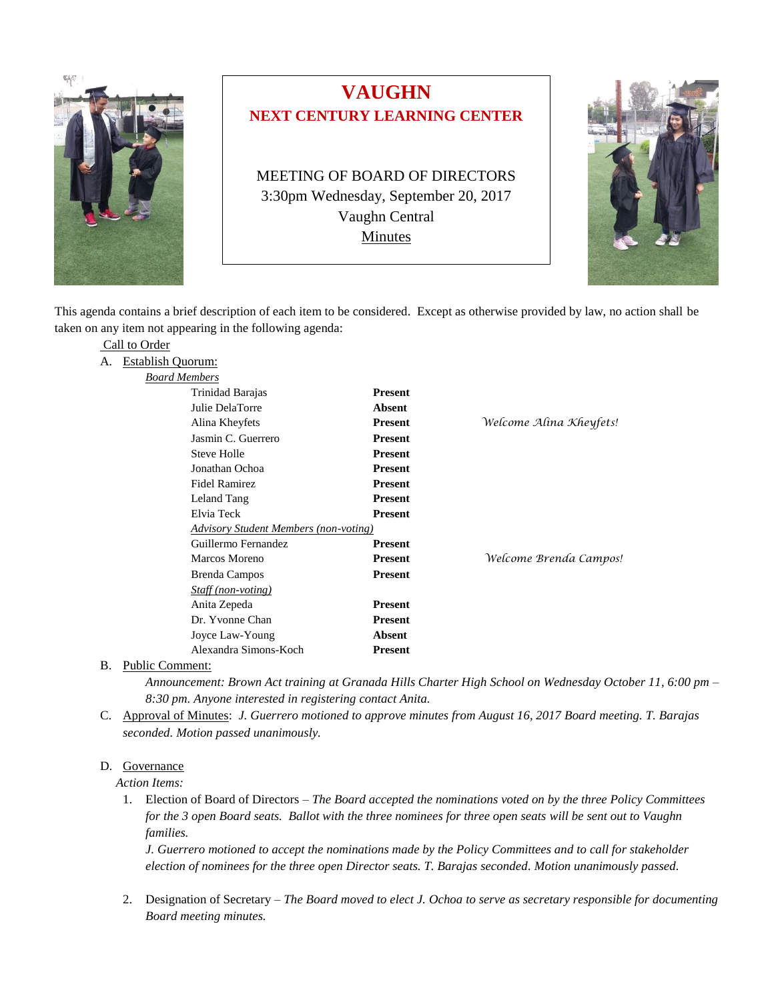

# **VAUGHN NEXT CENTURY LEARNING CENTER**

MEETING OF BOARD OF DIRECTORS 3:30pm Wednesday, September 20, 2017 Vaughn Central **Minutes** 



This agenda contains a brief description of each item to be considered. Except as otherwise provided by law, no action shall be taken on any item not appearing in the following agenda:

|    | Call to Order                                |                |                         |
|----|----------------------------------------------|----------------|-------------------------|
| А. | <b>Establish Quorum:</b>                     |                |                         |
|    | <b>Board Members</b>                         |                |                         |
|    | Trinidad Barajas                             | <b>Present</b> |                         |
|    | Julie DelaTorre                              | <b>Absent</b>  |                         |
|    | Alina Kheyfets                               | <b>Present</b> | Welcome Alina Kheyfets! |
|    | Jasmin C. Guerrero                           | <b>Present</b> |                         |
|    | <b>Steve Holle</b>                           | <b>Present</b> |                         |
|    | Jonathan Ochoa                               | <b>Present</b> |                         |
|    | <b>Fidel Ramirez</b>                         | <b>Present</b> |                         |
|    | Leland Tang                                  | <b>Present</b> |                         |
|    | Elvia Teck                                   | <b>Present</b> |                         |
|    | <b>Advisory Student Members (non-voting)</b> |                |                         |
|    | Guillermo Fernandez                          | <b>Present</b> |                         |
|    | Marcos Moreno                                | <b>Present</b> | Welcome Brenda Campos!  |
|    | Brenda Campos                                | <b>Present</b> |                         |
|    | Staff (non-voting)                           |                |                         |
|    | Anita Zepeda                                 | <b>Present</b> |                         |
|    | Dr. Yvonne Chan                              | <b>Present</b> |                         |
|    | Joyce Law-Young                              | <b>Absent</b>  |                         |
|    | Alexandra Simons-Koch                        | <b>Present</b> |                         |
|    |                                              |                |                         |

B. Public Comment:

*Announcement: Brown Act training at Granada Hills Charter High School on Wednesday October 11, 6:00 pm – 8:30 pm. Anyone interested in registering contact Anita.* 

C. Approval of Minutes: *J. Guerrero motioned to approve minutes from August 16, 2017 Board meeting. T. Barajas seconded. Motion passed unanimously.*

## D. Governance

 *Action Items:*

1. Election of Board of Directors – *The Board accepted the nominations voted on by the three Policy Committees for the 3 open Board seats. Ballot with the three nominees for three open seats will be sent out to Vaughn families.* 

*J. Guerrero motioned to accept the nominations made by the Policy Committees and to call for stakeholder election of nominees for the three open Director seats. T. Barajas seconded. Motion unanimously passed.*

2. Designation of Secretary – *The Board moved to elect J. Ochoa to serve as secretary responsible for documenting Board meeting minutes.*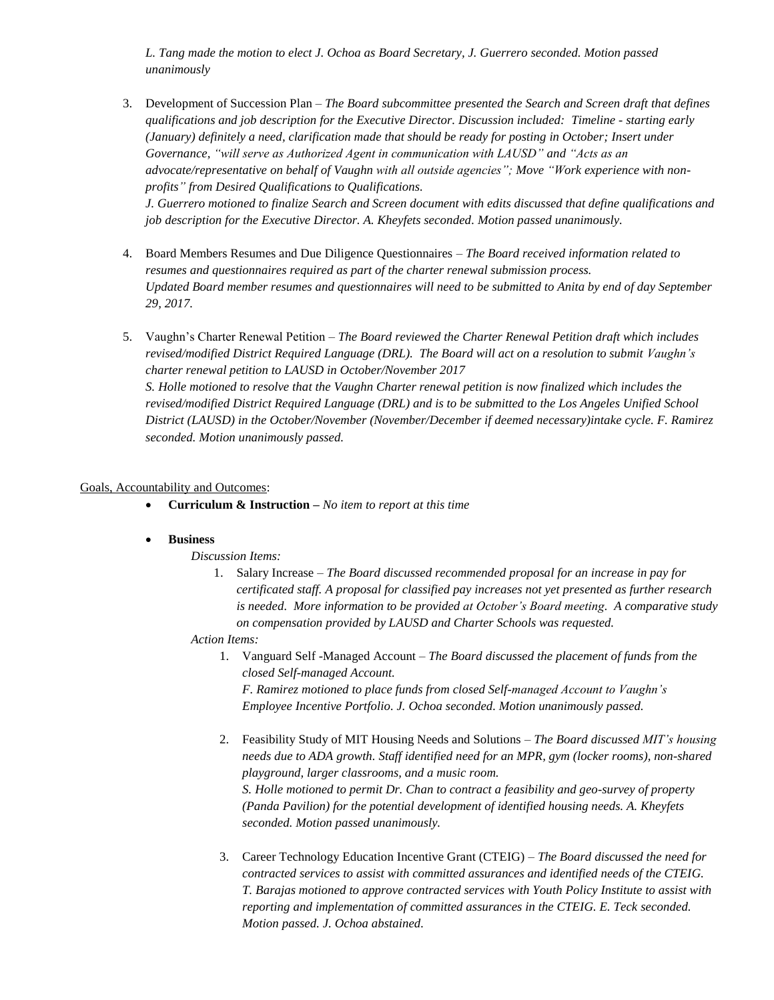*L. Tang made the motion to elect J. Ochoa as Board Secretary, J. Guerrero seconded. Motion passed unanimously*

- 3. Development of Succession Plan *The Board subcommittee presented the Search and Screen draft that defines qualifications and job description for the Executive Director. Discussion included: Timeline - starting early (January) definitely a need, clarification made that should be ready for posting in October; Insert under Governance, "will serve as Authorized Agent in communication with LAUSD" and "Acts as an advocate/representative on behalf of Vaughn with all outside agencies"; Move "Work experience with nonprofits" from Desired Qualifications to Qualifications. J. Guerrero motioned to finalize Search and Screen document with edits discussed that define qualifications and job description for the Executive Director. A. Kheyfets seconded. Motion passed unanimously.*
- 4. Board Members Resumes and Due Diligence Questionnaires *The Board received information related to resumes and questionnaires required as part of the charter renewal submission process. Updated Board member resumes and questionnaires will need to be submitted to Anita by end of day September 29, 2017.*
- 5. Vaughn's Charter Renewal Petition *The Board reviewed the Charter Renewal Petition draft which includes revised/modified District Required Language (DRL). The Board will act on a resolution to submit Vaughn's charter renewal petition to LAUSD in October/November 2017 S. Holle motioned to resolve that the Vaughn Charter renewal petition is now finalized which includes the revised/modified District Required Language (DRL) and is to be submitted to the Los Angeles Unified School District (LAUSD) in the October/November (November/December if deemed necessary)intake cycle. F. Ramirez seconded. Motion unanimously passed.*

### Goals, Accountability and Outcomes:

• **Curriculum & Instruction –** *No item to report at this time*

## • **Business**

#### *Discussion Items:*

1. Salary Increase – *The Board discussed recommended proposal for an increase in pay for certificated staff. A proposal for classified pay increases not yet presented as further research is needed. More information to be provided at October's Board meeting. A comparative study on compensation provided by LAUSD and Charter Schools was requested.*

#### *Action Items:*

1. Vanguard Self -Managed Account – *The Board discussed the placement of funds from the closed Self-managed Account.*

*F. Ramirez motioned to place funds from closed Self-managed Account to Vaughn's Employee Incentive Portfolio. J. Ochoa seconded. Motion unanimously passed.* 

- 2. Feasibility Study of MIT Housing Needs and Solutions *The Board discussed MIT's housing needs due to ADA growth. Staff identified need for an MPR, gym (locker rooms), non-shared playground, larger classrooms, and a music room. S. Holle motioned to permit Dr. Chan to contract a feasibility and geo-survey of property (Panda Pavilion) for the potential development of identified housing needs. A. Kheyfets seconded. Motion passed unanimously.*
- 3. Career Technology Education Incentive Grant (CTEIG) *The Board discussed the need for contracted services to assist with committed assurances and identified needs of the CTEIG. T. Barajas motioned to approve contracted services with Youth Policy Institute to assist with reporting and implementation of committed assurances in the CTEIG. E. Teck seconded. Motion passed. J. Ochoa abstained.*